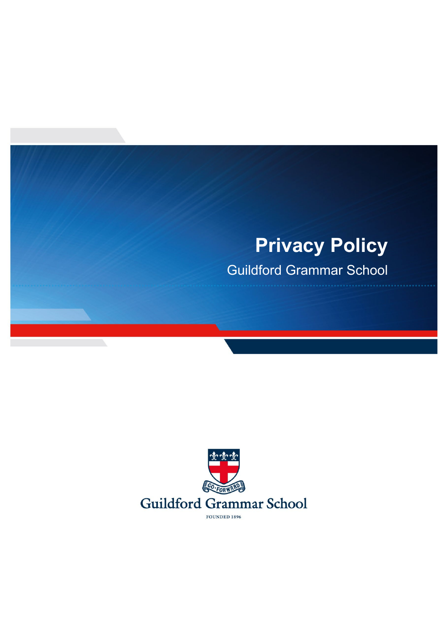# **Privacy Policy**

Guildford Grammar School

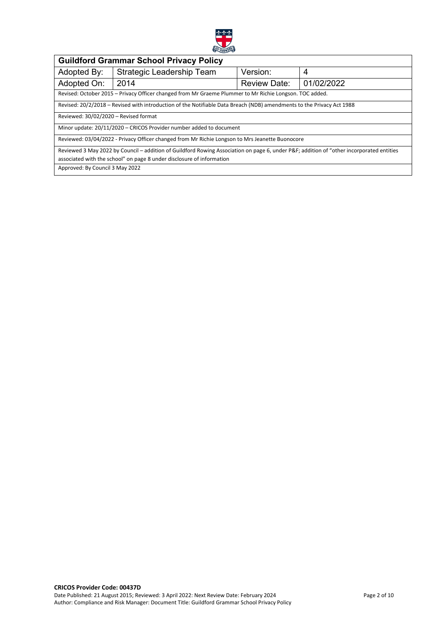

| <b>Guildford Grammar School Privacy Policy</b>                                                                                          |                           |                     |            |  |
|-----------------------------------------------------------------------------------------------------------------------------------------|---------------------------|---------------------|------------|--|
| Adopted By:                                                                                                                             | Strategic Leadership Team | Version:            | 4          |  |
| Adopted On:                                                                                                                             | 2014                      | <b>Review Date:</b> | 01/02/2022 |  |
| Revised: October 2015 - Privacy Officer changed from Mr Graeme Plummer to Mr Richie Longson. TOC added.                                 |                           |                     |            |  |
| Revised: 20/2/2018 – Revised with introduction of the Notifiable Data Breach (NDB) amendments to the Privacy Act 1988                   |                           |                     |            |  |
| Reviewed: 30/02/2020 - Revised format                                                                                                   |                           |                     |            |  |
| Minor update: 20/11/2020 - CRICOS Provider number added to document                                                                     |                           |                     |            |  |
| Reviewed: 03/04/2022 - Privacy Officer changed from Mr Richie Longson to Mrs Jeanette Buonocore                                         |                           |                     |            |  |
| Reviewed 3 May 2022 by Council – addition of Guildford Rowing Association on page 6, under P&F addition of "other incorporated entities |                           |                     |            |  |
| associated with the school" on page 8 under disclosure of information                                                                   |                           |                     |            |  |
| Approved: By Council 3 May 2022                                                                                                         |                           |                     |            |  |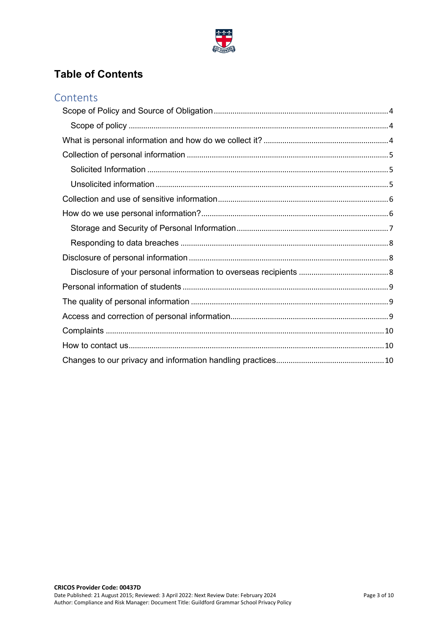

# **Table of Contents**

| Contents |  |
|----------|--|
|          |  |
|          |  |
|          |  |
|          |  |
|          |  |
|          |  |
|          |  |
|          |  |
|          |  |
|          |  |
|          |  |
|          |  |
|          |  |
|          |  |
|          |  |
|          |  |
|          |  |
|          |  |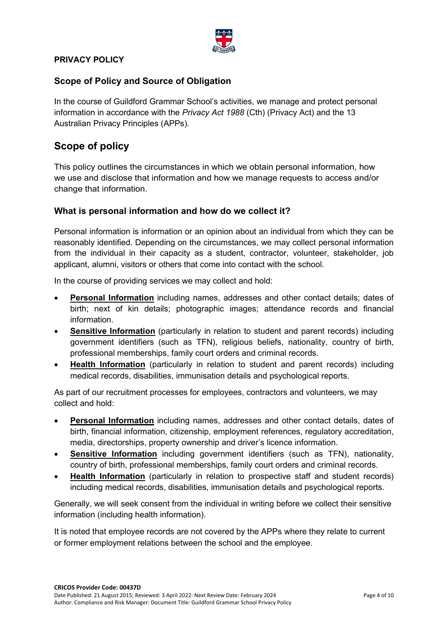

#### **PRIVACY POLICY**

#### <span id="page-3-0"></span>**Scope of Policy and Source of Obligation**

In the course of Guildford Grammar School's activities, we manage and protect personal information in accordance with the *Privacy Act 1988* (Cth) (Privacy Act) and the 13 Australian Privacy Principles (APPs).

# <span id="page-3-1"></span>**Scope of policy**

This policy outlines the circumstances in which we obtain personal information, how we use and disclose that information and how we manage requests to access and/or change that information.

#### <span id="page-3-2"></span>**What is personal information and how do we collect it?**

Personal information is information or an opinion about an individual from which they can be reasonably identified. Depending on the circumstances, we may collect personal information from the individual in their capacity as a student, contractor, volunteer, stakeholder, job applicant, alumni, visitors or others that come into contact with the school.

In the course of providing services we may collect and hold:

- **Personal Information** including names, addresses and other contact details; dates of birth; next of kin details; photographic images; attendance records and financial information.
- **Sensitive Information** (particularly in relation to student and parent records) including government identifiers (such as TFN), religious beliefs, nationality, country of birth, professional memberships, family court orders and criminal records.
- **Health Information** (particularly in relation to student and parent records) including medical records, disabilities, immunisation details and psychological reports.

As part of our recruitment processes for employees, contractors and volunteers, we may collect and hold:

- **Personal Information** including names, addresses and other contact details, dates of birth, financial information, citizenship, employment references, regulatory accreditation, media, directorships, property ownership and driver's licence information.
- **Sensitive Information** including government identifiers (such as TFN), nationality, country of birth, professional memberships, family court orders and criminal records.
- **Health Information** (particularly in relation to prospective staff and student records) including medical records, disabilities, immunisation details and psychological reports.

Generally, we will seek consent from the individual in writing before we collect their sensitive information (including health information).

It is noted that employee records are not covered by the APPs where they relate to current or former employment relations between the school and the employee.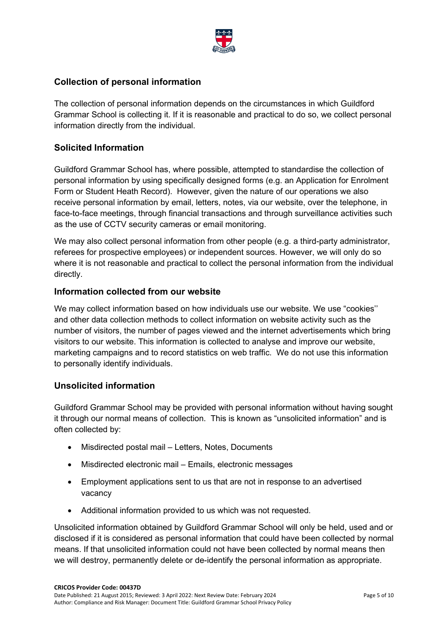

# <span id="page-4-0"></span>**Collection of personal information**

The collection of personal information depends on the circumstances in which Guildford Grammar School is collecting it. If it is reasonable and practical to do so, we collect personal information directly from the individual.

# <span id="page-4-1"></span>**Solicited Information**

Guildford Grammar School has, where possible, attempted to standardise the collection of personal information by using specifically designed forms (e.g. an Application for Enrolment Form or Student Heath Record). However, given the nature of our operations we also receive personal information by email, letters, notes, via our website, over the telephone, in face-to-face meetings, through financial transactions and through surveillance activities such as the use of CCTV security cameras or email monitoring.

We may also collect personal information from other people (e.g. a third-party administrator, referees for prospective employees) or independent sources. However, we will only do so where it is not reasonable and practical to collect the personal information from the individual directly.

#### **Information collected from our website**

We may collect information based on how individuals use our website. We use "cookies'' and other data collection methods to collect information on website activity such as the number of visitors, the number of pages viewed and the internet advertisements which bring visitors to our website. This information is collected to analyse and improve our website, marketing campaigns and to record statistics on web traffic. We do not use this information to personally identify individuals.

# <span id="page-4-2"></span>**Unsolicited information**

Guildford Grammar School may be provided with personal information without having sought it through our normal means of collection. This is known as "unsolicited information" and is often collected by:

- Misdirected postal mail Letters, Notes, Documents
- Misdirected electronic mail Emails, electronic messages
- Employment applications sent to us that are not in response to an advertised vacancy
- Additional information provided to us which was not requested.

Unsolicited information obtained by Guildford Grammar School will only be held, used and or disclosed if it is considered as personal information that could have been collected by normal means. If that unsolicited information could not have been collected by normal means then we will destroy, permanently delete or de-identify the personal information as appropriate.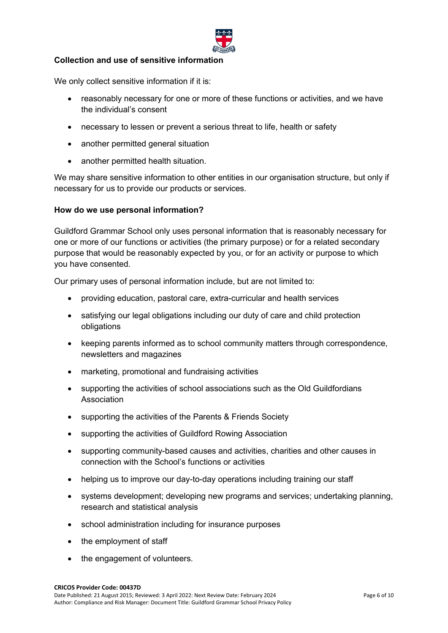

#### <span id="page-5-0"></span>**Collection and use of sensitive information**

We only collect sensitive information if it is:

- reasonably necessary for one or more of these functions or activities, and we have the individual's consent
- necessary to lessen or prevent a serious threat to life, health or safety
- another permitted general situation
- another permitted health situation.

We may share sensitive information to other entities in our organisation structure, but only if necessary for us to provide our products or services.

#### <span id="page-5-1"></span>**How do we use personal information?**

Guildford Grammar School only uses personal information that is reasonably necessary for one or more of our functions or activities (the primary purpose) or for a related secondary purpose that would be reasonably expected by you, or for an activity or purpose to which you have consented.

Our primary uses of personal information include, but are not limited to:

- providing education, pastoral care, extra-curricular and health services
- satisfying our legal obligations including our duty of care and child protection obligations
- keeping parents informed as to school community matters through correspondence, newsletters and magazines
- marketing, promotional and fundraising activities
- supporting the activities of school associations such as the Old Guildfordians Association
- supporting the activities of the Parents & Friends Society
- supporting the activities of Guildford Rowing Association
- supporting community-based causes and activities, charities and other causes in connection with the School's functions or activities
- helping us to improve our day-to-day operations including training our staff
- systems development; developing new programs and services; undertaking planning, research and statistical analysis
- school administration including for insurance purposes
- the employment of staff
- the engagement of volunteers.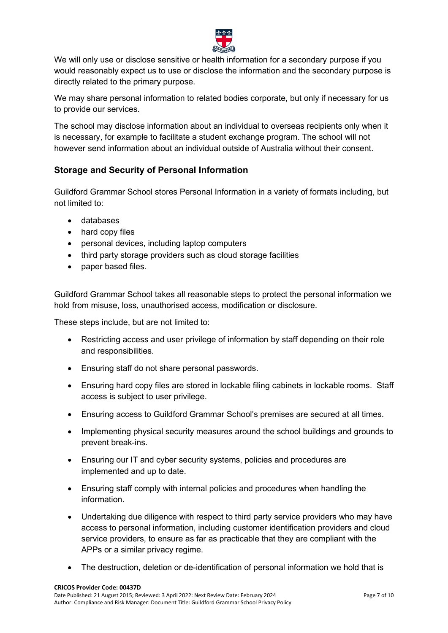

We will only use or disclose sensitive or health information for a secondary purpose if you would reasonably expect us to use or disclose the information and the secondary purpose is directly related to the primary purpose.

We may share personal information to related bodies corporate, but only if necessary for us to provide our services.

The school may disclose information about an individual to overseas recipients only when it is necessary, for example to facilitate a student exchange program. The school will not however send information about an individual outside of Australia without their consent.

# <span id="page-6-0"></span>**Storage and Security of Personal Information**

Guildford Grammar School stores Personal Information in a variety of formats including, but not limited to:

- databases
- hard copy files
- personal devices, including laptop computers
- third party storage providers such as cloud storage facilities
- paper based files.

Guildford Grammar School takes all reasonable steps to protect the personal information we hold from misuse, loss, unauthorised access, modification or disclosure.

These steps include, but are not limited to:

- Restricting access and user privilege of information by staff depending on their role and responsibilities.
- Ensuring staff do not share personal passwords.
- Ensuring hard copy files are stored in lockable filing cabinets in lockable rooms. Staff access is subject to user privilege.
- Ensuring access to Guildford Grammar School's premises are secured at all times.
- Implementing physical security measures around the school buildings and grounds to prevent break-ins.
- Ensuring our IT and cyber security systems, policies and procedures are implemented and up to date.
- Ensuring staff comply with internal policies and procedures when handling the information.
- Undertaking due diligence with respect to third party service providers who may have access to personal information, including customer identification providers and cloud service providers, to ensure as far as practicable that they are compliant with the APPs or a similar privacy regime.
- The destruction, deletion or de-identification of personal information we hold that is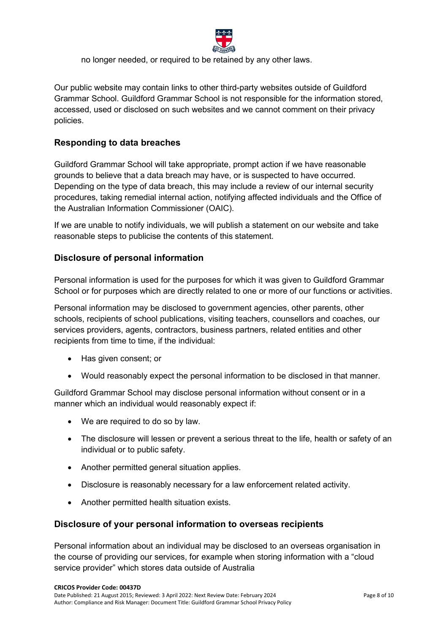

no longer needed, or required to be retained by any other laws.

Our public website may contain links to other third-party websites outside of Guildford Grammar School. Guildford Grammar School is not responsible for the information stored, accessed, used or disclosed on such websites and we cannot comment on their privacy policies.

#### <span id="page-7-0"></span>**Responding to data breaches**

Guildford Grammar School will take appropriate, prompt action if we have reasonable grounds to believe that a data breach may have, or is suspected to have occurred. Depending on the type of data breach, this may include a review of our internal security procedures, taking remedial internal action, notifying affected individuals and the Office of the Australian Information Commissioner (OAIC).

If we are unable to notify individuals, we will publish a statement on our website and take reasonable steps to publicise the contents of this statement.

# <span id="page-7-1"></span>**Disclosure of personal information**

Personal information is used for the purposes for which it was given to Guildford Grammar School or for purposes which are directly related to one or more of our functions or activities.

Personal information may be disclosed to government agencies, other parents, other schools, recipients of school publications, visiting teachers, counsellors and coaches, our services providers, agents, contractors, business partners, related entities and other recipients from time to time, if the individual:

- Has given consent; or
- Would reasonably expect the personal information to be disclosed in that manner.

Guildford Grammar School may disclose personal information without consent or in a manner which an individual would reasonably expect if:

- We are required to do so by law.
- The disclosure will lessen or prevent a serious threat to the life, health or safety of an individual or to public safety.
- Another permitted general situation applies.
- Disclosure is reasonably necessary for a law enforcement related activity.
- Another permitted health situation exists.

#### <span id="page-7-2"></span>**Disclosure of your personal information to overseas recipients**

Personal information about an individual may be disclosed to an overseas organisation in the course of providing our services, for example when storing information with a "cloud service provider" which stores data outside of Australia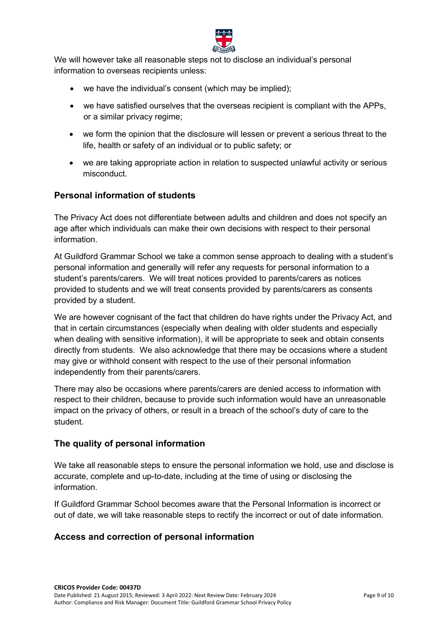

We will however take all reasonable steps not to disclose an individual's personal information to overseas recipients unless:

- we have the individual's consent (which may be implied);
- we have satisfied ourselves that the overseas recipient is compliant with the APPs, or a similar privacy regime;
- we form the opinion that the disclosure will lessen or prevent a serious threat to the life, health or safety of an individual or to public safety; or
- we are taking appropriate action in relation to suspected unlawful activity or serious misconduct.

# <span id="page-8-0"></span>**Personal information of students**

The Privacy Act does not differentiate between adults and children and does not specify an age after which individuals can make their own decisions with respect to their personal information.

At Guildford Grammar School we take a common sense approach to dealing with a student's personal information and generally will refer any requests for personal information to a student's parents/carers. We will treat notices provided to parents/carers as notices provided to students and we will treat consents provided by parents/carers as consents provided by a student.

We are however cognisant of the fact that children do have rights under the Privacy Act, and that in certain circumstances (especially when dealing with older students and especially when dealing with sensitive information), it will be appropriate to seek and obtain consents directly from students. We also acknowledge that there may be occasions where a student may give or withhold consent with respect to the use of their personal information independently from their parents/carers.

There may also be occasions where parents/carers are denied access to information with respect to their children, because to provide such information would have an unreasonable impact on the privacy of others, or result in a breach of the school's duty of care to the student.

#### <span id="page-8-1"></span>**The quality of personal information**

We take all reasonable steps to ensure the personal information we hold, use and disclose is accurate, complete and up-to-date, including at the time of using or disclosing the information.

If Guildford Grammar School becomes aware that the Personal Information is incorrect or out of date, we will take reasonable steps to rectify the incorrect or out of date information.

# <span id="page-8-2"></span>**Access and correction of personal information**